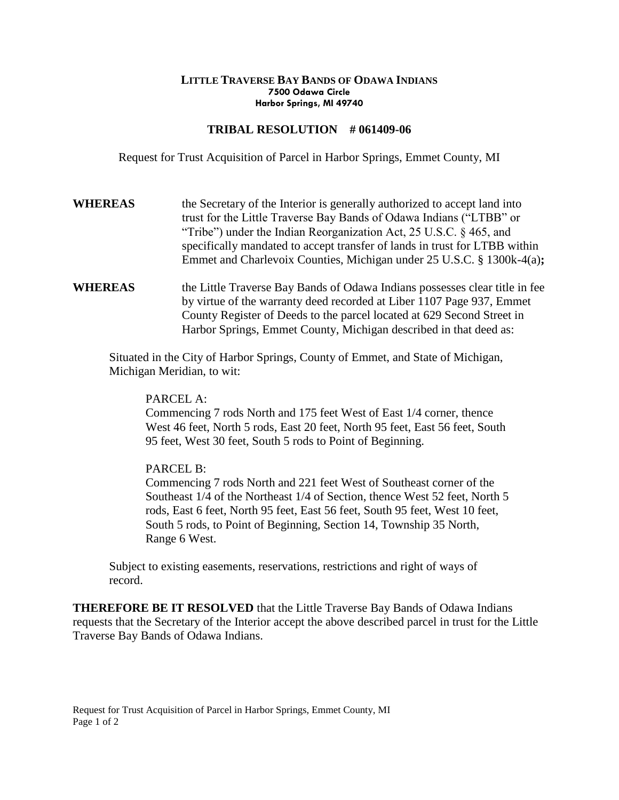## **LITTLE TRAVERSE BAY BANDS OF ODAWA INDIANS 7500 Odawa Circle Harbor Springs, MI 49740**

## **TRIBAL RESOLUTION # 061409-06**

Request for Trust Acquisition of Parcel in Harbor Springs, Emmet County, MI

- **WHEREAS** the Secretary of the Interior is generally authorized to accept land into trust for the Little Traverse Bay Bands of Odawa Indians ("LTBB" or "Tribe") under the Indian Reorganization Act, 25 U.S.C. § 465, and specifically mandated to accept transfer of lands in trust for LTBB within Emmet and Charlevoix Counties, Michigan under 25 U.S.C. § 1300k-4(a)**;**
- **WHEREAS** the Little Traverse Bay Bands of Odawa Indians possesses clear title in fee by virtue of the warranty deed recorded at Liber 1107 Page 937, Emmet County Register of Deeds to the parcel located at 629 Second Street in Harbor Springs, Emmet County, Michigan described in that deed as:

Situated in the City of Harbor Springs, County of Emmet, and State of Michigan, Michigan Meridian, to wit:

PARCEL A:

Commencing 7 rods North and 175 feet West of East 1/4 corner, thence West 46 feet, North 5 rods, East 20 feet, North 95 feet, East 56 feet, South 95 feet, West 30 feet, South 5 rods to Point of Beginning.

## PARCEL B:

Commencing 7 rods North and 221 feet West of Southeast corner of the Southeast 1/4 of the Northeast 1/4 of Section, thence West 52 feet, North 5 rods, East 6 feet, North 95 feet, East 56 feet, South 95 feet, West 10 feet, South 5 rods, to Point of Beginning, Section 14, Township 35 North, Range 6 West.

Subject to existing easements, reservations, restrictions and right of ways of record.

**THEREFORE BE IT RESOLVED** that the Little Traverse Bay Bands of Odawa Indians requests that the Secretary of the Interior accept the above described parcel in trust for the Little Traverse Bay Bands of Odawa Indians.